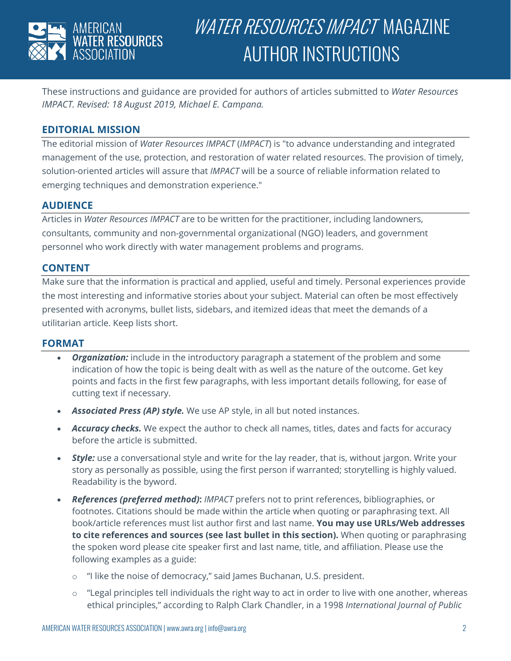

# WATER RESOURCES IMPACT MAGAZINE AUTHOR INSTRUCTIONS

These instructions and guidance are provided for authors of articles submitted to *Water Resources IMPACT. Revised: 18 August 2019, Michael E. Campana.*

## **EDITORIAL MISSION**

The editorial mission of *Water Resources IMPACT* (*IMPACT*) is "to advance understanding and integrated management of the use, protection, and restoration of water related resources. The provision of timely, solution-oriented articles will assure that *IMPACT* will be a source of reliable information related to emerging techniques and demonstration experience."

#### **AUDIENCE**

Articles in *Water Resources IMPACT* are to be written for the practitioner, including landowners, consultants, community and non-governmental organizational (NGO) leaders, and government personnel who work directly with water management problems and programs.

### **CONTENT**

Make sure that the information is practical and applied, useful and timely. Personal experiences provide the most interesting and informative stories about your subject. Material can often be most effectively presented with acronyms, bullet lists, sidebars, and itemized ideas that meet the demands of a utilitarian article. Keep lists short.

#### **FORMAT**

- *Organization:* include in the introductory paragraph a statement of the problem and some indication of how the topic is being dealt with as well as the nature of the outcome. Get key points and facts in the first few paragraphs, with less important details following, for ease of cutting text if necessary.
- *Associated Press (AP) style.* We use AP style, in all but noted instances.
- *Accuracy checks.* We expect the author to check all names, titles, dates and facts for accuracy before the article is submitted.
- *Style:* use a conversational style and write for the lay reader, that is, without jargon. Write your story as personally as possible, using the first person if warranted; storytelling is highly valued. Readability is the byword.
- *References (preferred method)***:** *IMPACT* prefers not to print references, bibliographies, or footnotes. Citations should be made within the article when quoting or paraphrasing text. All book/article references must list author first and last name. **You may use URLs/Web addresses to cite references and sources (see last bullet in this section).** When quoting or paraphrasing the spoken word please cite speaker first and last name, title, and affiliation. Please use the following examples as a guide:
	- o "I like the noise of democracy," said James Buchanan, U.S. president.
	- o "Legal principles tell individuals the right way to act in order to live with one another, whereas ethical principles," according to Ralph Clark Chandler, in a 1998 *International Journal of Public*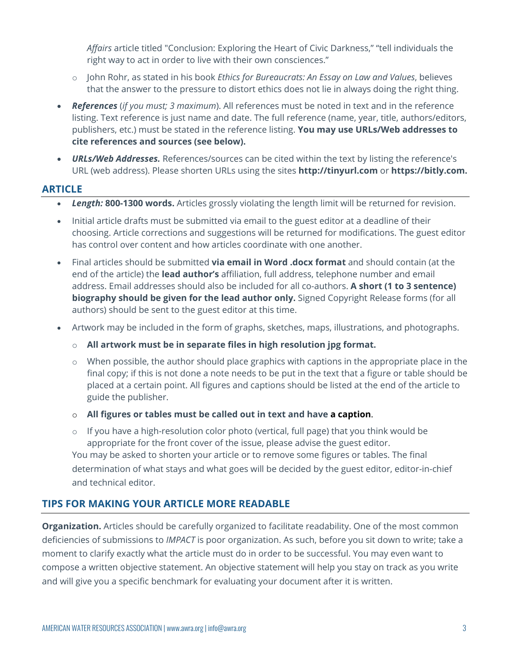*Affairs* article titled "Conclusion: Exploring the Heart of Civic Darkness," "tell individuals the right way to act in order to live with their own consciences."

- o John Rohr, as stated in his book *Ethics for Bureaucrats: An Essay on Law and Values*, believes that the answer to the pressure to distort ethics does not lie in always doing the right thing.
- *References* (*if you must; 3 maximum*). All references must be noted in text and in the reference listing. Text reference is just name and date. The full reference (name, year, title, authors/editors, publishers, etc.) must be stated in the reference listing. **You may use URLs/Web addresses to cite references and sources (see below).**
- *URLs/Web Addresses.* References/sources can be cited within the text by listing the reference's URL (web address). Please shorten URLs using the sites **http://tinyurl.com** or **https://bitly.com.**

### **ARTICLE**

- *Length:* **800-1300 words.** Articles grossly violating the length limit will be returned for revision.
- Initial article drafts must be submitted via email to the guest editor at a deadline of their choosing. Article corrections and suggestions will be returned for modifications. The guest editor has control over content and how articles coordinate with one another.
- Final articles should be submitted **via email in Word .docx format** and should contain (at the end of the article) the **lead author's** affiliation, full address, telephone number and email address. Email addresses should also be included for all co-authors. **A short (1 to 3 sentence) biography should be given for the lead author only.** Signed Copyright Release forms (for all authors) should be sent to the guest editor at this time.
- Artwork may be included in the form of graphs, sketches, maps, illustrations, and photographs.
	- o **All artwork must be in separate files in high resolution jpg format.**
	- o When possible, the author should place graphics with captions in the appropriate place in the final copy; if this is not done a note needs to be put in the text that a figure or table should be placed at a certain point. All figures and captions should be listed at the end of the article to guide the publisher.
	- o **All figures or tables must be called out in text and have a caption**.
	- o If you have a high-resolution color photo (vertical, full page) that you think would be appropriate for the front cover of the issue, please advise the guest editor. You may be asked to shorten your article or to remove some figures or tables. The final determination of what stays and what goes will be decided by the guest editor, editor-in-chief and technical editor.

# **TIPS FOR MAKING YOUR ARTICLE MORE READABLE**

**Organization.** Articles should be carefully organized to facilitate readability. One of the most common deficiencies of submissions to *IMPACT* is poor organization. As such, before you sit down to write; take a moment to clarify exactly what the article must do in order to be successful. You may even want to compose a written objective statement. An objective statement will help you stay on track as you write and will give you a specific benchmark for evaluating your document after it is written.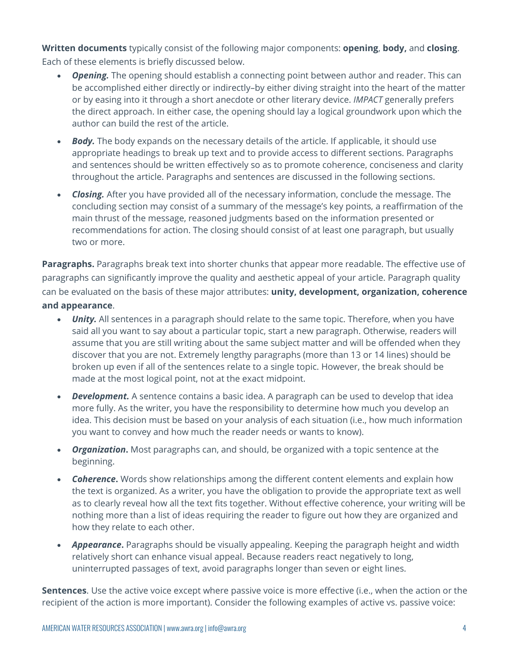**Written documents** typically consist of the following major components: **opening**, **body,** and **closing**. Each of these elements is briefly discussed below.

- *Opening.* The opening should establish a connecting point between author and reader. This can be accomplished either directly or indirectly–by either diving straight into the heart of the matter or by easing into it through a short anecdote or other literary device. *IMPACT* generally prefers the direct approach. In either case, the opening should lay a logical groundwork upon which the author can build the rest of the article.
- *Body.* The body expands on the necessary details of the article. If applicable, it should use appropriate headings to break up text and to provide access to different sections. Paragraphs and sentences should be written effectively so as to promote coherence, conciseness and clarity throughout the article. Paragraphs and sentences are discussed in the following sections.
- *Closing.* After you have provided all of the necessary information, conclude the message. The concluding section may consist of a summary of the message's key points, a reaffirmation of the main thrust of the message, reasoned judgments based on the information presented or recommendations for action. The closing should consist of at least one paragraph, but usually two or more.

**Paragraphs.** Paragraphs break text into shorter chunks that appear more readable. The effective use of paragraphs can significantly improve the quality and aesthetic appeal of your article. Paragraph quality can be evaluated on the basis of these major attributes: **unity, development, organization, coherence and appearance**.

- **Unity.** All sentences in a paragraph should relate to the same topic. Therefore, when you have said all you want to say about a particular topic, start a new paragraph. Otherwise, readers will assume that you are still writing about the same subject matter and will be offended when they discover that you are not. Extremely lengthy paragraphs (more than 13 or 14 lines) should be broken up even if all of the sentences relate to a single topic. However, the break should be made at the most logical point, not at the exact midpoint.
- *Development.* A sentence contains a basic idea. A paragraph can be used to develop that idea more fully. As the writer, you have the responsibility to determine how much you develop an idea. This decision must be based on your analysis of each situation (i.e., how much information you want to convey and how much the reader needs or wants to know).
- *Organization***.** Most paragraphs can, and should, be organized with a topic sentence at the beginning.
- *Coherence***.** Words show relationships among the different content elements and explain how the text is organized. As a writer, you have the obligation to provide the appropriate text as well as to clearly reveal how all the text fits together. Without effective coherence, your writing will be nothing more than a list of ideas requiring the reader to figure out how they are organized and how they relate to each other.
- *Appearance***.** Paragraphs should be visually appealing. Keeping the paragraph height and width relatively short can enhance visual appeal. Because readers react negatively to long, uninterrupted passages of text, avoid paragraphs longer than seven or eight lines.

**Sentences**. Use the active voice except where passive voice is more effective (i.e., when the action or the recipient of the action is more important). Consider the following examples of active vs. passive voice: